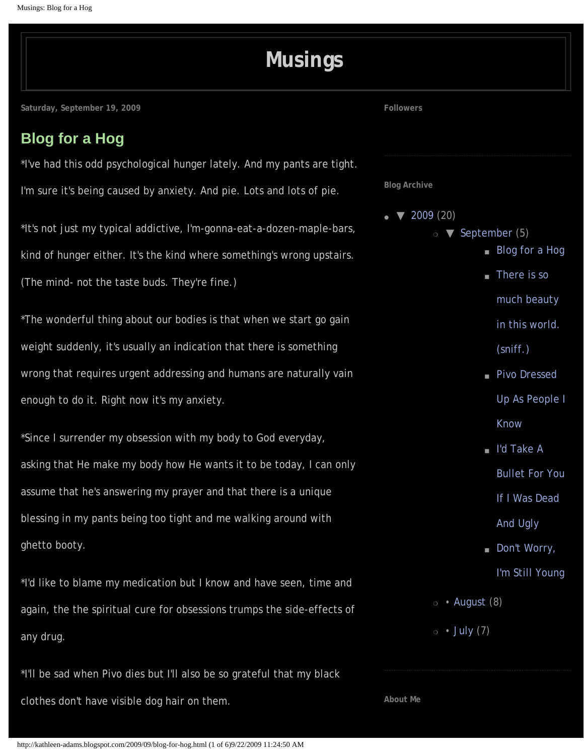# **[Musings](http://kathleen-adams.blogspot.com/)**

<span id="page-0-0"></span>**Saturday, September 19, 2009**

## **[Blog for a Hog](#page-0-0)**

\*I've had this odd psychological hunger lately. And my pants are tight. I'm sure it's being caused by anxiety. And pie. Lots and lots of pie.

\*It's not just my typical addictive, I'm-gonna-eat-a-dozen-maple-bars, kind of hunger either. It's the kind where something's wrong upstairs. (The mind- not the taste buds. They're fine.)

\*The wonderful thing about our bodies is that when we start go gain weight suddenly, it's usually an indication that there is something wrong that requires urgent addressing and humans are naturally vain enough to do it. Right now it's my anxiety.

\*Since I surrender my obsession with my body to God everyday, asking that He make my body how He wants it to be today, I can only assume that he's answering my prayer and that there is a unique blessing in my pants being too tight and me walking around with ghetto booty.

\*I'd like to blame my medication but I know and have seen, time and again, the the spiritual cure for obsessions trumps the side-effects of any drug.

\*I'll be sad when Pivo dies but I'll also be so grateful that my black clothes don't have visible dog hair on them.

**Followers**

**Blog Archive**

- $\blacktriangledown$  [2009](http://kathleen-adams.blogspot.com/search?updated-min=2009-01-01T00%3A00%3A00-08%3A00&updated-max=2010-01-01T00%3A00%3A00-08%3A00&max-results=20) (20)
	- $\circ$  **V** [September](http://kathleen-adams.blogspot.com/2009_09_01_archive.html) (5)
		- [Blog for a Hog](#page-0-0)
		- [There is so](http://kathleen-adams.blogspot.com/2009/09/there-is-so-much-beauty-in-this-world.html)
			- [much beauty](http://kathleen-adams.blogspot.com/2009/09/there-is-so-much-beauty-in-this-world.html)
			- [in this world.](http://kathleen-adams.blogspot.com/2009/09/there-is-so-much-beauty-in-this-world.html)
			- [\(sniff.\)](http://kathleen-adams.blogspot.com/2009/09/there-is-so-much-beauty-in-this-world.html)
		- [Pivo Dressed](http://kathleen-adams.blogspot.com/2009/09/pivo-dressed-up-as-people-i-know.html) [Up As People I](http://kathleen-adams.blogspot.com/2009/09/pivo-dressed-up-as-people-i-know.html)
			- [Know](http://kathleen-adams.blogspot.com/2009/09/pivo-dressed-up-as-people-i-know.html)
		- I'd Take A
			- [Bullet For You](http://kathleen-adams.blogspot.com/2009/09/when-i-wish-i-was-dead-its-not-because.html)
			- [If I Was Dead](http://kathleen-adams.blogspot.com/2009/09/when-i-wish-i-was-dead-its-not-because.html)
			- [And Ugly](http://kathleen-adams.blogspot.com/2009/09/when-i-wish-i-was-dead-its-not-because.html)
		- Don't Worry,
			- [I'm Still Young](http://kathleen-adams.blogspot.com/2009/09/dont-worry-im-still-young_09.html)
	- $\circ$  [August](http://kathleen-adams.blogspot.com/2009_08_01_archive.html) (8)
	- $\circ$  [July](http://kathleen-adams.blogspot.com/2009_07_01_archive.html) (7)

**About Me**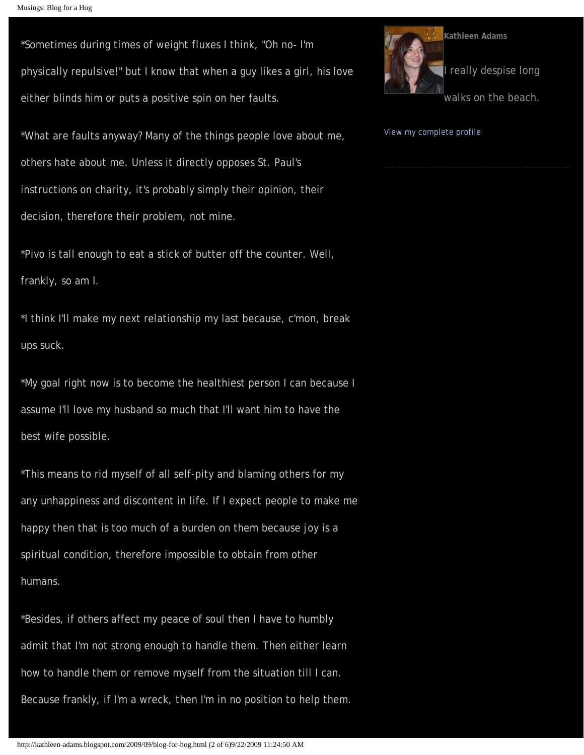```
Musings: Blog for a Hog
```
\*Sometimes during times of weight fluxes I think, "Oh no- I'm physically repulsive!" but I know that when a guy likes a girl, his love either blinds him or puts a positive spin on her faults.

\*What are faults anyway? Many of the things people love about me, others hate about me. Unless it directly opposes St. Paul's instructions on charity, it's probably simply their opinion, their decision, therefore their problem, not mine.

\*Pivo is tall enough to eat a stick of butter off the counter. Well, frankly, so am I.

\*I think I'll make my next relationship my last because, c'mon, break ups suck.

\*My goal right now is to become the healthiest person I can because I assume I'll love my husband so much that I'll want him to have the best wife possible.

\*This means to rid myself of all self-pity and blaming others for my any unhappiness and discontent in life. If I expect people to make me happy then that is too much of a burden on them because joy is a spiritual condition, therefore impossible to obtain from other humans.

\*Besides, if others affect my peace of soul then I have to humbly admit that I'm not strong enough to handle them. Then either learn how to handle them or remove myself from the situation till I can. Because frankly, if I'm a wreck, then I'm in no position to help them.



[View my complete profile](http://www.blogger.com/profile/07836445101034327600)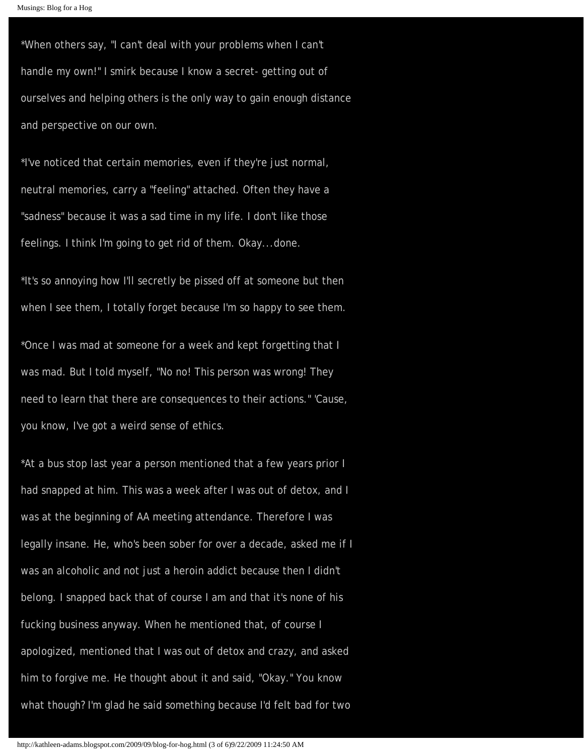\*When others say, "I can't deal with your problems when I can't handle my own!" I smirk because I know a secret- getting out of ourselves and helping others is the only way to gain enough distance and perspective on our own.

\*I've noticed that certain memories, even if they're just normal, neutral memories, carry a "feeling" attached. Often they have a "sadness" because it was a sad time in my life. I don't like those feelings. I think I'm going to get rid of them. Okay...done.

\*It's so annoying how I'll secretly be pissed off at someone but then when I see them, I totally forget because I'm so happy to see them.

\*Once I was mad at someone for a week and kept forgetting that I was mad. But I told myself, "No no! This person was wrong! They need to learn that there are consequences to their actions." 'Cause, you know, I've got a weird sense of ethics.

\*At a bus stop last year a person mentioned that a few years prior I had snapped at him. This was a week after I was out of detox, and I was at the beginning of AA meeting attendance. Therefore I was legally insane. He, who's been sober for over a decade, asked me if I was an alcoholic and not just a heroin addict because then I didn't belong. I snapped back that of course I am and that it's none of his fucking business anyway. When he mentioned that, of course I apologized, mentioned that I was out of detox and crazy, and asked him to forgive me. He thought about it and said, "Okay." You know what though? I'm glad he said something because I'd felt bad for two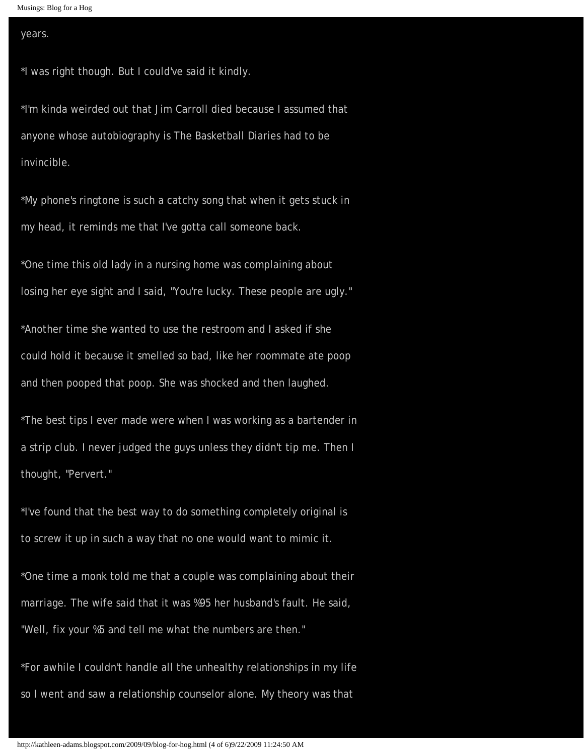```
Musings: Blog for a Hog
```
#### years.

\*I was right though. But I could've said it kindly.

\*I'm kinda weirded out that Jim Carroll died because I assumed that anyone whose autobiography is The Basketball Diaries had to be invincible.

\*My phone's ringtone is such a catchy song that when it gets stuck in my head, it reminds me that I've gotta call someone back.

\*One time this old lady in a nursing home was complaining about losing her eye sight and I said, "You're lucky. These people are ugly."

\*Another time she wanted to use the restroom and I asked if she could hold it because it smelled so bad, like her roommate ate poop and then pooped that poop. She was shocked and then laughed.

\*The best tips I ever made were when I was working as a bartender in a strip club. I never judged the guys unless they didn't tip me. Then I thought, "Pervert."

\*I've found that the best way to do something completely original is to screw it up in such a way that no one would want to mimic it.

\*One time a monk told me that a couple was complaining about their marriage. The wife said that it was %95 her husband's fault. He said, "Well, fix your %5 and tell me what the numbers are then."

\*For awhile I couldn't handle all the unhealthy relationships in my life so I went and saw a relationship counselor alone. My theory was that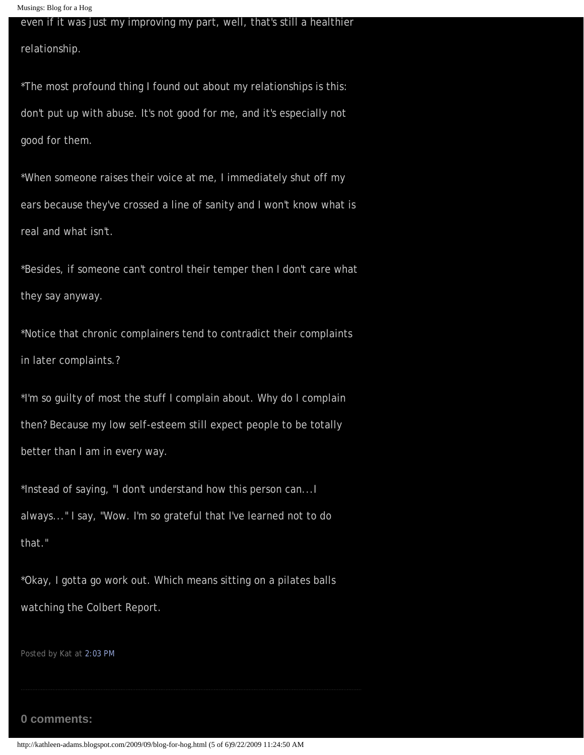```
Musings: Blog for a Hog
```
### even if it was just my improving my part, well, that's still a healthier

relationship.

\*The most profound thing I found out about my relationships is this: don't put up with abuse. It's not good for me, and it's especially not good for them.

\*When someone raises their voice at me, I immediately shut off my ears because they've crossed a line of sanity and I won't know what is real and what isn't.

\*Besides, if someone can't control their temper then I don't care what they say anyway.

\*Notice that chronic complainers tend to contradict their complaints in later complaints.?

\*I'm so guilty of most the stuff I complain about. Why do I complain then? Because my low self-esteem still expect people to be totally better than I am in every way.

\*Instead of saying, "I don't understand how this person can...I always..." I say, "Wow. I'm so grateful that I've learned not to do that."

\*Okay, I gotta go work out. Which means sitting on a pilates balls watching the Colbert Report.

Posted by Kat at [2:03 PM](#page-0-0)

#### **0 comments:**